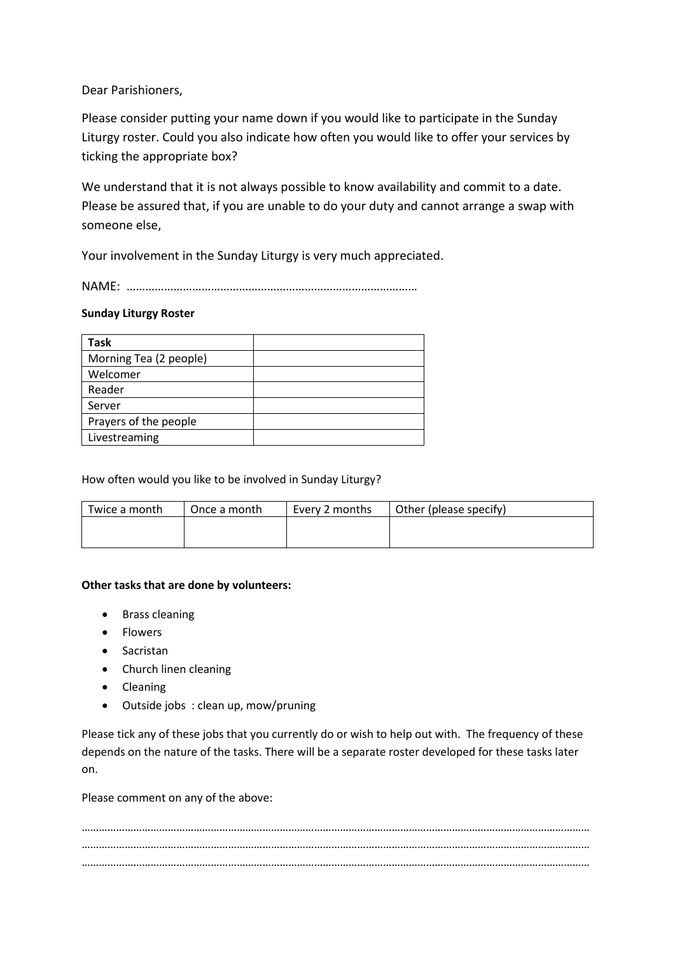Dear Parishioners,

Please consider putting your name down if you would like to participate in the Sunday Liturgy roster. Could you also indicate how often you would like to offer your services by ticking the appropriate box?

We understand that it is not always possible to know availability and commit to a date. Please be assured that, if you are unable to do your duty and cannot arrange a swap with someone else,

Your involvement in the Sunday Liturgy is very much appreciated.

NAME: …………………………………………………………………………………

## **Sunday Liturgy Roster**

| <b>Task</b>            |  |
|------------------------|--|
| Morning Tea (2 people) |  |
| Welcomer               |  |
| Reader                 |  |
| Server                 |  |
| Prayers of the people  |  |
| Livestreaming          |  |

How often would you like to be involved in Sunday Liturgy?

| Twice a month | Once a month | Every 2 months | Other (please specify) |
|---------------|--------------|----------------|------------------------|
|               |              |                |                        |
|               |              |                |                        |

## **Other tasks that are done by volunteers:**

- Brass cleaning
- Flowers
- Sacristan
- Church linen cleaning
- Cleaning
- Outside jobs : clean up, mow/pruning

Please tick any of these jobs that you currently do or wish to help out with. The frequency of these depends on the nature of the tasks. There will be a separate roster developed for these tasks later on.

Please comment on any of the above:

…………………………………………………………………………………………………………………………………………………………… …………………………………………………………………………………………………………………………………………………………… ……………………………………………………………………………………………………………………………………………………………